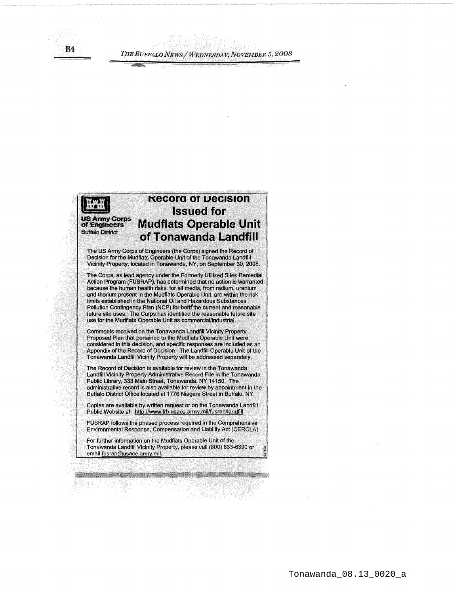**R4** 

## **Kecora or Decision Issued for US Army Corps<br>of Engineers Mudflats Operable Unit Buffalo District ofTonawanda Landfill**

The US Army Corps of Engineers (the Corps) signed the Record of Decision for the Mudflats Operable Unit of the Tonawanda Landfill Vicinity Property, located in Tonawanda, NY, on September 30, 2008.

The Corps, as lead agency under the Formerly Utilized Sites Remedial Action Program (FUSRAP), has determined that no action is warranted because the human health risks, for all media, from radium, uranium and thorium present in the Mudflats Operable Unit, are within the risk limits established in the National Oil and Hazardous Substances Pollution Contingency Plan (NCP) for both the current and reasonable future site uses. The Corps has identified the reasonable future site use for the Mudflats Operable Unit as commercial/industrial.

Comments received on the Tonawanda Landfill Vicinity Property Proposed Plan that pertained to the Mudflats Operable Unit were considered ln this decision, and specific responses are included as an Appendix of the Record of Decision. The Landfill Operable Unit of the Tonawanda Landfill Vicinity Property will be addressed separately.

The Record of Decision is available for review in the Tonawanda Landfill Vicinity Property Administrative Record File in the Tonawanda Public Library, 333 Main Street, Tonawanda, NY 14150. The administrative record is also available for review by appointment In the Buffalo District Office located at 1776 Niagara Street in Buffalo, NY.

Copies are available.by written request or on the Tonawanda Landfill Public Website at: http://www.lrb.usace.army.mil/fusrap/landfill.

FUSRAP follows the phased process required in the Comprehensive Environmental Response, Compensation and Liability Act (CERCLA).

For further information on the Mudflats Operable Unit of the Tonawanda Landfill Vicinity Property, please call (800) 833-6390 or email fusrap@usace.army.mil.